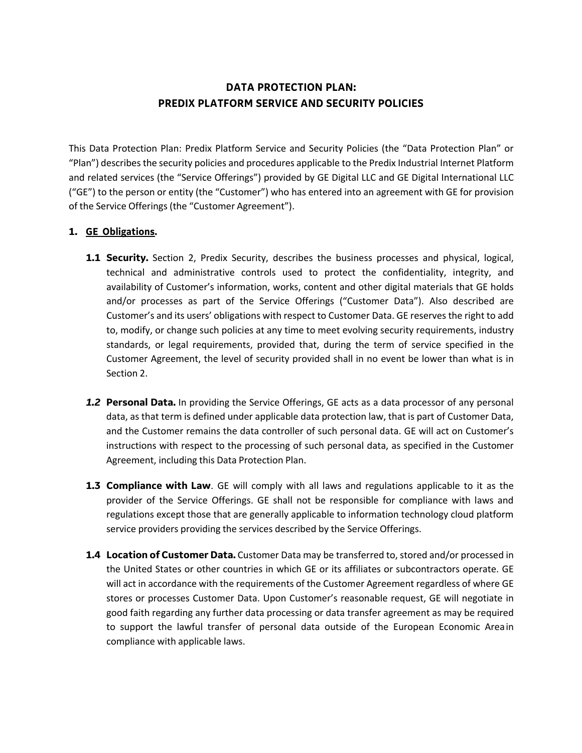# **DATA PROTECTION PLAN: PREDIX PLATFORM SERVICE AND SECURITY POLICIES**

This Data Protection Plan: Predix Platform Service and Security Policies (the "Data Protection Plan" or "Plan") describesthe security policies and procedures applicable to the Predix Industrial Internet Platform and related services (the "Service Offerings") provided by GE Digital LLC and GE Digital International LLC ("GE") to the person or entity (the "Customer") who has entered into an agreement with GE for provision of the Service Offerings (the "Customer Agreement").

## **1. GE Obligations.**

- **1.1 Security.** Section 2, Predix Security, describes the business processes and physical, logical, technical and administrative controls used to protect the confidentiality, integrity, and availability of Customer's information, works, content and other digital materials that GE holds and/or processes as part of the Service Offerings ("Customer Data"). Also described are Customer's and its users' obligations with respect to Customer Data. GE reserves the right to add to, modify, or change such policies at any time to meet evolving security requirements, industry standards, or legal requirements, provided that, during the term of service specified in the Customer Agreement, the level of security provided shall in no event be lower than what is in Section 2.
- *1.2* **Personal Data.** In providing the Service Offerings, GE acts as a data processor of any personal data, as that term is defined under applicable data protection law, that is part of Customer Data, and the Customer remains the data controller of such personal data. GE will act on Customer's instructions with respect to the processing of such personal data, as specified in the Customer Agreement, including this Data Protection Plan.
- **1.3 Compliance with Law**. GE will comply with all laws and regulations applicable to it as the provider of the Service Offerings. GE shall not be responsible for compliance with laws and regulations except those that are generally applicable to information technology cloud platform service providers providing the services described by the Service Offerings.
- **1.4 Location of Customer Data.** Customer Data may be transferred to, stored and/or processed in the United States or other countries in which GE or its affiliates or subcontractors operate. GE will act in accordance with the requirements of the Customer Agreement regardless of where GE stores or processes Customer Data. Upon Customer's reasonable request, GE will negotiate in good faith regarding any further data processing or data transfer agreement as may be required to support the lawful transfer of personal data outside of the European Economic Areain compliance with applicable laws.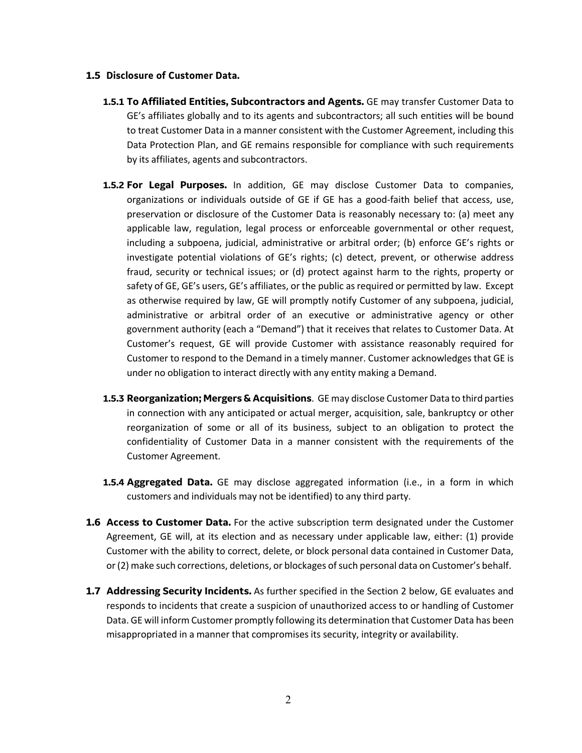#### **1.5 Disclosure of Customer Data.**

- **1.5.1 To Affiliated Entities, Subcontractors and Agents.** GE may transfer Customer Data to GE's affiliates globally and to its agents and subcontractors; all such entities will be bound to treat Customer Data in a manner consistent with the Customer Agreement, including this Data Protection Plan, and GE remains responsible for compliance with such requirements by its affiliates, agents and subcontractors.
- **1.5.2 For Legal Purposes.** In addition, GE may disclose Customer Data to companies, organizations or individuals outside of GE if GE has a good-faith belief that access, use, preservation or disclosure of the Customer Data is reasonably necessary to: (a) meet any applicable law, regulation, legal process or enforceable governmental or other request, including a subpoena, judicial, administrative or arbitral order; (b) enforce GE's rights or investigate potential violations of GE's rights; (c) detect, prevent, or otherwise address fraud, security or technical issues; or (d) protect against harm to the rights, property or safety of GE, GE's users, GE's affiliates, or the public as required or permitted by law. Except as otherwise required by law, GE will promptly notify Customer of any subpoena, judicial, administrative or arbitral order of an executive or administrative agency or other government authority (each a "Demand") that it receives that relates to Customer Data. At Customer's request, GE will provide Customer with assistance reasonably required for Customer to respond to the Demand in a timely manner. Customer acknowledges that GE is under no obligation to interact directly with any entity making a Demand.
- **1.5.3 Reorganization; Mergers & Acquisitions**. GE may disclose Customer Data to third parties in connection with any anticipated or actual merger, acquisition, sale, bankruptcy or other reorganization of some or all of its business, subject to an obligation to protect the confidentiality of Customer Data in a manner consistent with the requirements of the Customer Agreement.
- **1.5.4 Aggregated Data.** GE may disclose aggregated information (i.e., in a form in which customers and individuals may not be identified) to any third party.
- **1.6 Access to Customer Data.** For the active subscription term designated under the Customer Agreement, GE will, at its election and as necessary under applicable law, either: (1) provide Customer with the ability to correct, delete, or block personal data contained in Customer Data, or(2) make such corrections, deletions, or blockages ofsuch personal data on Customer's behalf.
- **1.7 Addressing Security Incidents.** As further specified in the Section 2 below, GE evaluates and responds to incidents that create a suspicion of unauthorized access to or handling of Customer Data. GE will inform Customer promptly following its determination that Customer Data has been misappropriated in a manner that compromises its security, integrity or availability.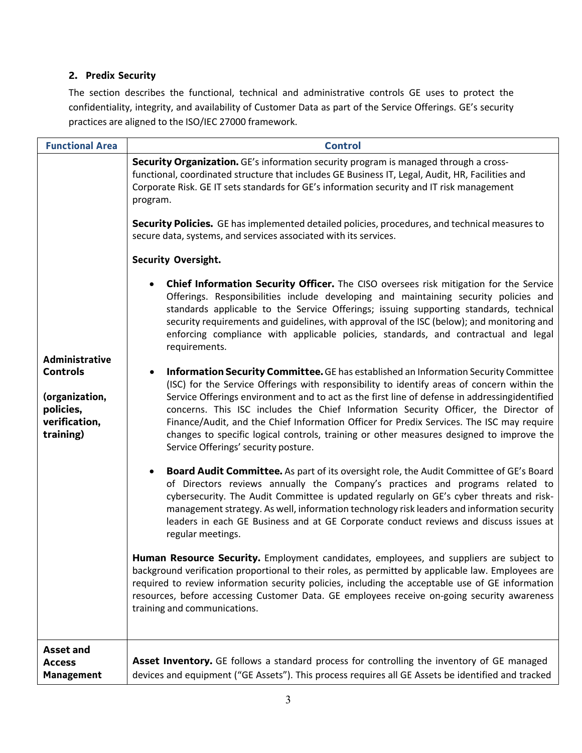## **2. Predix Security**

The section describes the functional, technical and administrative controls GE uses to protect the confidentiality, integrity, and availability of Customer Data as part of the Service Offerings. GE's security practices are aligned to the ISO/IEC 27000 framework.

| <b>Functional Area</b>                                                                                | <b>Control</b>                                                                                                                                                                                                                                                                                                                                                                                                                                                                                                                                                                                                      |  |  |  |
|-------------------------------------------------------------------------------------------------------|---------------------------------------------------------------------------------------------------------------------------------------------------------------------------------------------------------------------------------------------------------------------------------------------------------------------------------------------------------------------------------------------------------------------------------------------------------------------------------------------------------------------------------------------------------------------------------------------------------------------|--|--|--|
|                                                                                                       | Security Organization. GE's information security program is managed through a cross-<br>functional, coordinated structure that includes GE Business IT, Legal, Audit, HR, Facilities and<br>Corporate Risk. GE IT sets standards for GE's information security and IT risk management<br>program.                                                                                                                                                                                                                                                                                                                   |  |  |  |
|                                                                                                       | Security Policies. GE has implemented detailed policies, procedures, and technical measures to<br>secure data, systems, and services associated with its services.                                                                                                                                                                                                                                                                                                                                                                                                                                                  |  |  |  |
|                                                                                                       | <b>Security Oversight.</b>                                                                                                                                                                                                                                                                                                                                                                                                                                                                                                                                                                                          |  |  |  |
| <b>Administrative</b><br><b>Controls</b><br>(organization,<br>policies,<br>verification,<br>training) | Chief Information Security Officer. The CISO oversees risk mitigation for the Service<br>Offerings. Responsibilities include developing and maintaining security policies and<br>standards applicable to the Service Offerings; issuing supporting standards, technical<br>security requirements and guidelines, with approval of the ISC (below); and monitoring and<br>enforcing compliance with applicable policies, standards, and contractual and legal<br>requirements.                                                                                                                                       |  |  |  |
|                                                                                                       | <b>Information Security Committee.</b> GE has established an Information Security Committee<br>(ISC) for the Service Offerings with responsibility to identify areas of concern within the<br>Service Offerings environment and to act as the first line of defense in addressingidentified<br>concerns. This ISC includes the Chief Information Security Officer, the Director of<br>Finance/Audit, and the Chief Information Officer for Predix Services. The ISC may require<br>changes to specific logical controls, training or other measures designed to improve the<br>Service Offerings' security posture. |  |  |  |
|                                                                                                       | Board Audit Committee. As part of its oversight role, the Audit Committee of GE's Board<br>of Directors reviews annually the Company's practices and programs related to<br>cybersecurity. The Audit Committee is updated regularly on GE's cyber threats and risk-<br>management strategy. As well, information technology risk leaders and information security<br>leaders in each GE Business and at GE Corporate conduct reviews and discuss issues at<br>regular meetings.                                                                                                                                     |  |  |  |
|                                                                                                       | Human Resource Security. Employment candidates, employees, and suppliers are subject to<br>background verification proportional to their roles, as permitted by applicable law. Employees are<br>required to review information security policies, including the acceptable use of GE information<br>resources, before accessing Customer Data. GE employees receive on-going security awareness<br>training and communications.                                                                                                                                                                                    |  |  |  |
| <b>Asset and</b><br><b>Access</b><br><b>Management</b>                                                | Asset Inventory. GE follows a standard process for controlling the inventory of GE managed<br>devices and equipment ("GE Assets"). This process requires all GE Assets be identified and tracked                                                                                                                                                                                                                                                                                                                                                                                                                    |  |  |  |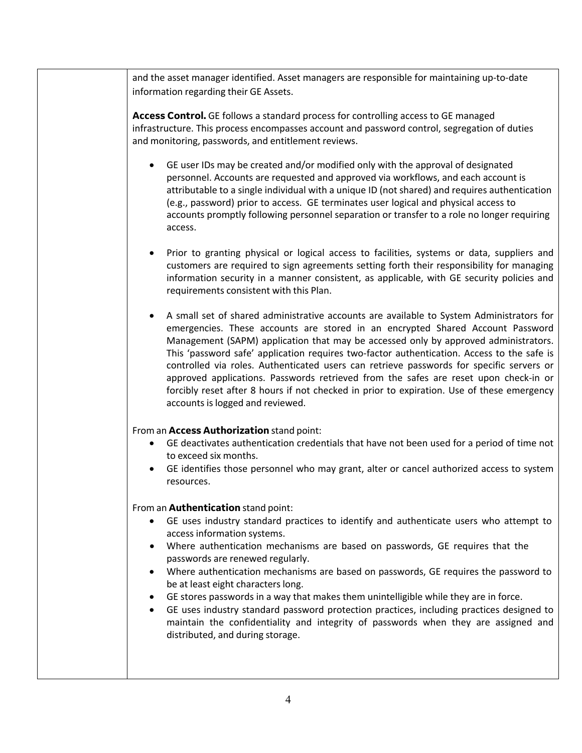and the asset manager identified. Asset managers are responsible for maintaining up-to-date information regarding their GE Assets.

**Access Control.** GE follows a standard process for controlling access to GE managed infrastructure. This process encompasses account and password control, segregation of duties and monitoring, passwords, and entitlement reviews.

- GE user IDs may be created and/or modified only with the approval of designated personnel. Accounts are requested and approved via workflows, and each account is attributable to a single individual with a unique ID (not shared) and requires authentication (e.g., password) prior to access. GE terminates user logical and physical access to accounts promptly following personnel separation or transfer to a role no longer requiring access.
- Prior to granting physical or logical access to facilities, systems or data, suppliers and customers are required to sign agreements setting forth their responsibility for managing information security in a manner consistent, as applicable, with GE security policies and requirements consistent with this Plan.
- A small set of shared administrative accounts are available to System Administrators for emergencies. These accounts are stored in an encrypted Shared Account Password Management (SAPM) application that may be accessed only by approved administrators. This 'password safe' application requires two-factor authentication. Access to the safe is controlled via roles. Authenticated users can retrieve passwords for specific servers or approved applications. Passwords retrieved from the safes are reset upon check-in or forcibly reset after 8 hours if not checked in prior to expiration. Use of these emergency accounts is logged and reviewed.

### From an**AccessAuthorization** stand point:

- GE deactivates authentication credentials that have not been used for a period of time not to exceed six months.
- GE identifies those personnel who may grant, alter or cancel authorized access to system resources.

### From an**Authentication** stand point:

- GE uses industry standard practices to identify and authenticate users who attempt to access information systems.
- Where authentication mechanisms are based on passwords, GE requires that the passwords are renewed regularly.
- Where authentication mechanisms are based on passwords, GE requires the password to be at least eight characters long.
- GE stores passwords in a way that makes them unintelligible while they are in force.
- GE uses industry standard password protection practices, including practices designed to maintain the confidentiality and integrity of passwords when they are assigned and distributed, and during storage.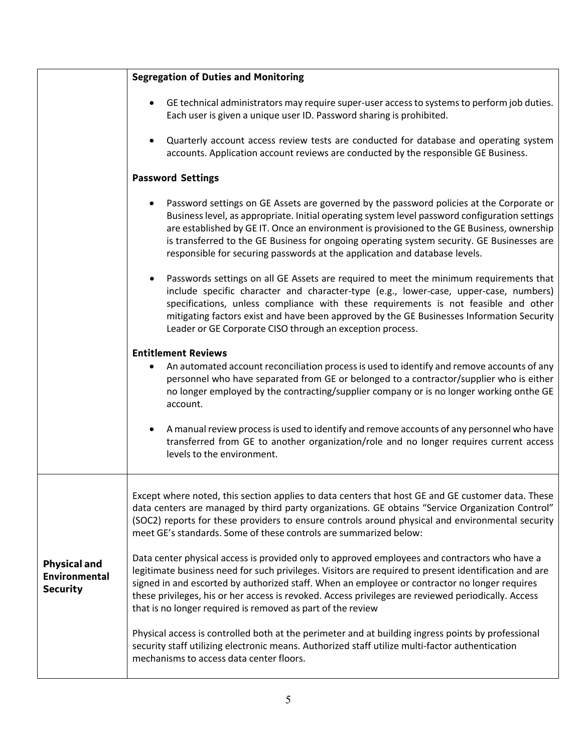|                                                         | <b>Segregation of Duties and Monitoring</b>                                                                                                                                                                                                                                                                                                                                                                                                                                   |  |  |  |  |
|---------------------------------------------------------|-------------------------------------------------------------------------------------------------------------------------------------------------------------------------------------------------------------------------------------------------------------------------------------------------------------------------------------------------------------------------------------------------------------------------------------------------------------------------------|--|--|--|--|
|                                                         | GE technical administrators may require super-user access to systems to perform job duties.<br>Each user is given a unique user ID. Password sharing is prohibited.                                                                                                                                                                                                                                                                                                           |  |  |  |  |
|                                                         | Quarterly account access review tests are conducted for database and operating system<br>accounts. Application account reviews are conducted by the responsible GE Business.                                                                                                                                                                                                                                                                                                  |  |  |  |  |
|                                                         | <b>Password Settings</b>                                                                                                                                                                                                                                                                                                                                                                                                                                                      |  |  |  |  |
|                                                         | Password settings on GE Assets are governed by the password policies at the Corporate or<br>Business level, as appropriate. Initial operating system level password configuration settings<br>are established by GE IT. Once an environment is provisioned to the GE Business, ownership<br>is transferred to the GE Business for ongoing operating system security. GE Businesses are<br>responsible for securing passwords at the application and database levels.          |  |  |  |  |
|                                                         | Passwords settings on all GE Assets are required to meet the minimum requirements that<br>include specific character and character-type (e.g., lower-case, upper-case, numbers)<br>specifications, unless compliance with these requirements is not feasible and other<br>mitigating factors exist and have been approved by the GE Businesses Information Security<br>Leader or GE Corporate CISO through an exception process.                                              |  |  |  |  |
|                                                         | <b>Entitlement Reviews</b><br>An automated account reconciliation process is used to identify and remove accounts of any<br>personnel who have separated from GE or belonged to a contractor/supplier who is either<br>no longer employed by the contracting/supplier company or is no longer working onthe GE<br>account.                                                                                                                                                    |  |  |  |  |
|                                                         | A manual review process is used to identify and remove accounts of any personnel who have<br>transferred from GE to another organization/role and no longer requires current access<br>levels to the environment.                                                                                                                                                                                                                                                             |  |  |  |  |
|                                                         | Except where noted, this section applies to data centers that host GE and GE customer data. These<br>data centers are managed by third party organizations. GE obtains "Service Organization Control"<br>(SOC2) reports for these providers to ensure controls around physical and environmental security<br>meet GE's standards. Some of these controls are summarized below:                                                                                                |  |  |  |  |
| <b>Physical and</b><br>Environmental<br><b>Security</b> | Data center physical access is provided only to approved employees and contractors who have a<br>legitimate business need for such privileges. Visitors are required to present identification and are<br>signed in and escorted by authorized staff. When an employee or contractor no longer requires<br>these privileges, his or her access is revoked. Access privileges are reviewed periodically. Access<br>that is no longer required is removed as part of the review |  |  |  |  |
|                                                         | Physical access is controlled both at the perimeter and at building ingress points by professional<br>security staff utilizing electronic means. Authorized staff utilize multi-factor authentication<br>mechanisms to access data center floors.                                                                                                                                                                                                                             |  |  |  |  |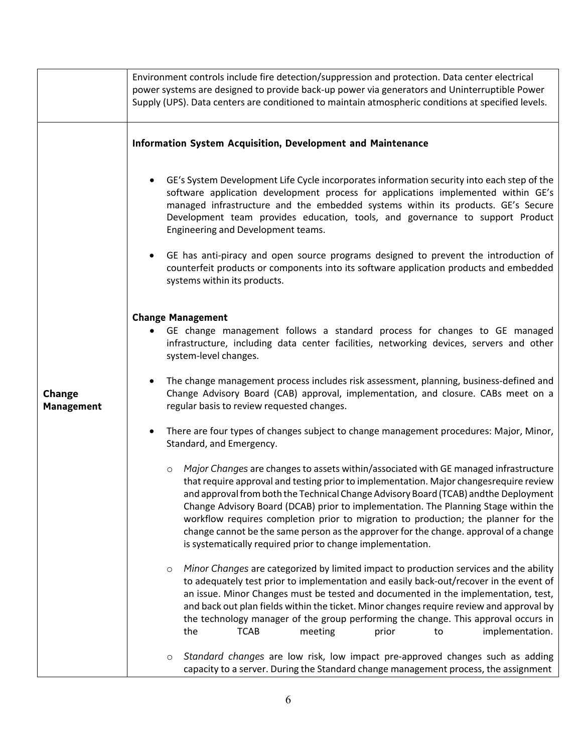|                                    | Environment controls include fire detection/suppression and protection. Data center electrical<br>power systems are designed to provide back-up power via generators and Uninterruptible Power<br>Supply (UPS). Data centers are conditioned to maintain atmospheric conditions at specified levels.                                                                                                                                                                                                                                                                                                                  |  |  |  |  |
|------------------------------------|-----------------------------------------------------------------------------------------------------------------------------------------------------------------------------------------------------------------------------------------------------------------------------------------------------------------------------------------------------------------------------------------------------------------------------------------------------------------------------------------------------------------------------------------------------------------------------------------------------------------------|--|--|--|--|
|                                    | <b>Information System Acquisition, Development and Maintenance</b>                                                                                                                                                                                                                                                                                                                                                                                                                                                                                                                                                    |  |  |  |  |
|                                    | GE's System Development Life Cycle incorporates information security into each step of the<br>software application development process for applications implemented within GE's<br>managed infrastructure and the embedded systems within its products. GE's Secure<br>Development team provides education, tools, and governance to support Product<br>Engineering and Development teams.                                                                                                                                                                                                                            |  |  |  |  |
|                                    | GE has anti-piracy and open source programs designed to prevent the introduction of<br>٠<br>counterfeit products or components into its software application products and embedded<br>systems within its products.                                                                                                                                                                                                                                                                                                                                                                                                    |  |  |  |  |
|                                    |                                                                                                                                                                                                                                                                                                                                                                                                                                                                                                                                                                                                                       |  |  |  |  |
| <b>Change</b><br><b>Management</b> | <b>Change Management</b><br>GE change management follows a standard process for changes to GE managed<br>٠<br>infrastructure, including data center facilities, networking devices, servers and other<br>system-level changes.                                                                                                                                                                                                                                                                                                                                                                                        |  |  |  |  |
|                                    | The change management process includes risk assessment, planning, business-defined and<br>$\bullet$<br>Change Advisory Board (CAB) approval, implementation, and closure. CABs meet on a<br>regular basis to review requested changes.                                                                                                                                                                                                                                                                                                                                                                                |  |  |  |  |
|                                    | There are four types of changes subject to change management procedures: Major, Minor,<br>$\bullet$<br>Standard, and Emergency.                                                                                                                                                                                                                                                                                                                                                                                                                                                                                       |  |  |  |  |
|                                    | Major Changes are changes to assets within/associated with GE managed infrastructure<br>$\circ$<br>that require approval and testing prior to implementation. Major changes require review<br>and approval from both the Technical Change Advisory Board (TCAB) andthe Deployment<br>Change Advisory Board (DCAB) prior to implementation. The Planning Stage within the<br>workflow requires completion prior to migration to production; the planner for the<br>change cannot be the same person as the approver for the change. approval of a change<br>is systematically required prior to change implementation. |  |  |  |  |
|                                    | Minor Changes are categorized by limited impact to production services and the ability<br>$\circ$<br>to adequately test prior to implementation and easily back-out/recover in the event of<br>an issue. Minor Changes must be tested and documented in the implementation, test,<br>and back out plan fields within the ticket. Minor changes require review and approval by<br>the technology manager of the group performing the change. This approval occurs in<br>the<br><b>TCAB</b><br>meeting<br>implementation.<br>prior<br>to                                                                                |  |  |  |  |
|                                    | Standard changes are low risk, low impact pre-approved changes such as adding<br>$\circ$<br>capacity to a server. During the Standard change management process, the assignment                                                                                                                                                                                                                                                                                                                                                                                                                                       |  |  |  |  |

6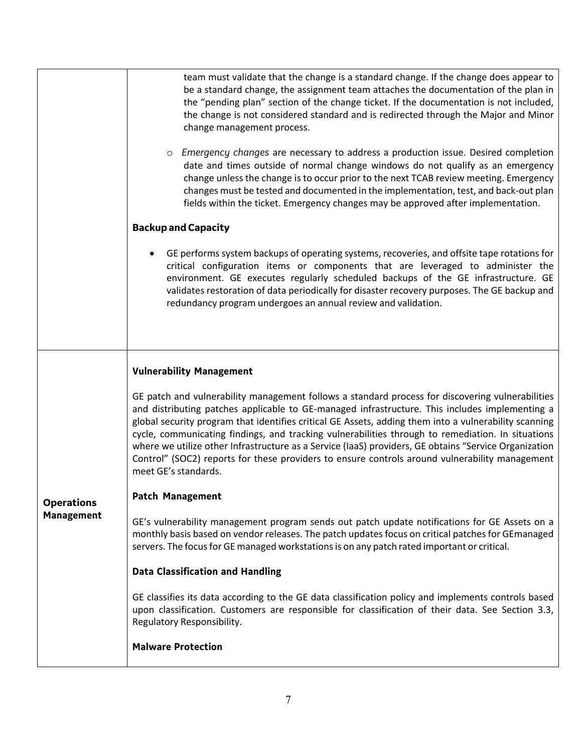|                   | team must validate that the change is a standard change. If the change does appear to<br>be a standard change, the assignment team attaches the documentation of the plan in<br>the "pending plan" section of the change ticket. If the documentation is not included,<br>the change is not considered standard and is redirected through the Major and Minor<br>change management process.<br>Emergency changes are necessary to address a production issue. Desired completion<br>date and times outside of normal change windows do not qualify as an emergency<br>change unless the change is to occur prior to the next TCAB review meeting. Emergency<br>changes must be tested and documented in the implementation, test, and back-out plan<br>fields within the ticket. Emergency changes may be approved after implementation.<br><b>Backup and Capacity</b><br>GE performs system backups of operating systems, recoveries, and offsite tape rotations for<br>critical configuration items or components that are leveraged to administer the |
|-------------------|----------------------------------------------------------------------------------------------------------------------------------------------------------------------------------------------------------------------------------------------------------------------------------------------------------------------------------------------------------------------------------------------------------------------------------------------------------------------------------------------------------------------------------------------------------------------------------------------------------------------------------------------------------------------------------------------------------------------------------------------------------------------------------------------------------------------------------------------------------------------------------------------------------------------------------------------------------------------------------------------------------------------------------------------------------|
|                   | environment. GE executes regularly scheduled backups of the GE infrastructure. GE<br>validates restoration of data periodically for disaster recovery purposes. The GE backup and<br>redundancy program undergoes an annual review and validation.                                                                                                                                                                                                                                                                                                                                                                                                                                                                                                                                                                                                                                                                                                                                                                                                       |
|                   | <b>Vulnerability Management</b>                                                                                                                                                                                                                                                                                                                                                                                                                                                                                                                                                                                                                                                                                                                                                                                                                                                                                                                                                                                                                          |
|                   | GE patch and vulnerability management follows a standard process for discovering vulnerabilities<br>and distributing patches applicable to GE-managed infrastructure. This includes implementing a<br>global security program that identifies critical GE Assets, adding them into a vulnerability scanning<br>cycle, communicating findings, and tracking vulnerabilities through to remediation. In situations<br>where we utilize other Infrastructure as a Service (IaaS) providers, GE obtains "Service Organization<br>Control" (SOC2) reports for these providers to ensure controls around vulnerability management<br>meet GE's standards.                                                                                                                                                                                                                                                                                                                                                                                                      |
| <b>Operations</b> | <b>Patch Management</b>                                                                                                                                                                                                                                                                                                                                                                                                                                                                                                                                                                                                                                                                                                                                                                                                                                                                                                                                                                                                                                  |
| <b>Management</b> | GE's vulnerability management program sends out patch update notifications for GE Assets on a<br>monthly basis based on vendor releases. The patch updates focus on critical patches for GEmanaged<br>servers. The focus for GE managed workstations is on any patch rated important or critical.                                                                                                                                                                                                                                                                                                                                                                                                                                                                                                                                                                                                                                                                                                                                                        |
|                   | <b>Data Classification and Handling</b>                                                                                                                                                                                                                                                                                                                                                                                                                                                                                                                                                                                                                                                                                                                                                                                                                                                                                                                                                                                                                  |
|                   | GE classifies its data according to the GE data classification policy and implements controls based<br>upon classification. Customers are responsible for classification of their data. See Section 3.3,<br>Regulatory Responsibility.                                                                                                                                                                                                                                                                                                                                                                                                                                                                                                                                                                                                                                                                                                                                                                                                                   |
|                   | <b>Malware Protection</b>                                                                                                                                                                                                                                                                                                                                                                                                                                                                                                                                                                                                                                                                                                                                                                                                                                                                                                                                                                                                                                |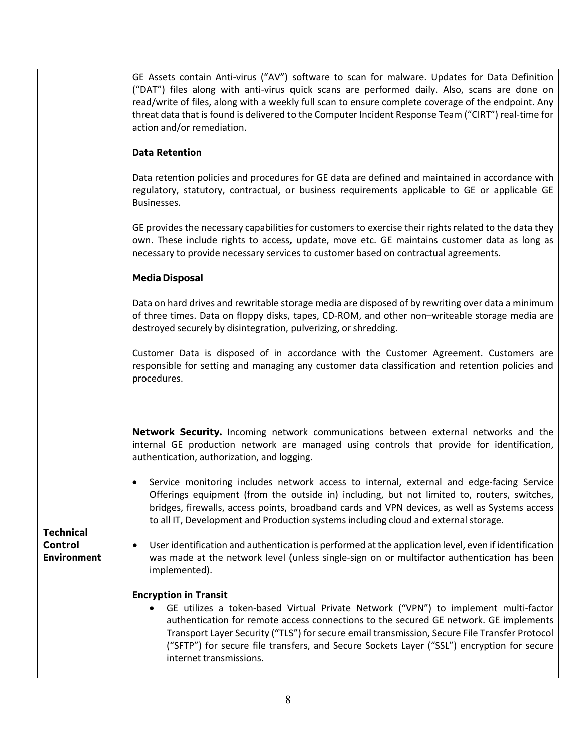|                                                   | ("DAT") files along with anti-virus quick scans are performed daily. Also, scans are done on<br>read/write of files, along with a weekly full scan to ensure complete coverage of the endpoint. Any<br>threat data that is found is delivered to the Computer Incident Response Team ("CIRT") real-time for<br>action and/or remediation.<br><b>Data Retention</b><br>Data retention policies and procedures for GE data are defined and maintained in accordance with<br>regulatory, statutory, contractual, or business requirements applicable to GE or applicable GE<br>Businesses.<br>GE provides the necessary capabilities for customers to exercise their rights related to the data they<br>own. These include rights to access, update, move etc. GE maintains customer data as long as<br>necessary to provide necessary services to customer based on contractual agreements.<br><b>Media Disposal</b><br>Data on hard drives and rewritable storage media are disposed of by rewriting over data a minimum<br>of three times. Data on floppy disks, tapes, CD-ROM, and other non-writeable storage media are<br>destroyed securely by disintegration, pulverizing, or shredding. |  |
|---------------------------------------------------|-----------------------------------------------------------------------------------------------------------------------------------------------------------------------------------------------------------------------------------------------------------------------------------------------------------------------------------------------------------------------------------------------------------------------------------------------------------------------------------------------------------------------------------------------------------------------------------------------------------------------------------------------------------------------------------------------------------------------------------------------------------------------------------------------------------------------------------------------------------------------------------------------------------------------------------------------------------------------------------------------------------------------------------------------------------------------------------------------------------------------------------------------------------------------------------------------|--|
|                                                   | Customer Data is disposed of in accordance with the Customer Agreement. Customers are<br>responsible for setting and managing any customer data classification and retention policies and<br>procedures.                                                                                                                                                                                                                                                                                                                                                                                                                                                                                                                                                                                                                                                                                                                                                                                                                                                                                                                                                                                      |  |
|                                                   | Network Security. Incoming network communications between external networks and the<br>internal GE production network are managed using controls that provide for identification,<br>authentication, authorization, and logging.                                                                                                                                                                                                                                                                                                                                                                                                                                                                                                                                                                                                                                                                                                                                                                                                                                                                                                                                                              |  |
| <b>Technical</b><br>Control<br><b>Environment</b> | Service monitoring includes network access to internal, external and edge-facing Service<br>Offerings equipment (from the outside in) including, but not limited to, routers, switches,<br>bridges, firewalls, access points, broadband cards and VPN devices, as well as Systems access<br>to all IT, Development and Production systems including cloud and external storage.<br>User identification and authentication is performed at the application level, even if identification<br>٠<br>was made at the network level (unless single-sign on or multifactor authentication has been<br>implemented).                                                                                                                                                                                                                                                                                                                                                                                                                                                                                                                                                                                  |  |
|                                                   | <b>Encryption in Transit</b><br>GE utilizes a token-based Virtual Private Network ("VPN") to implement multi-factor<br>authentication for remote access connections to the secured GE network. GE implements<br>Transport Layer Security ("TLS") for secure email transmission, Secure File Transfer Protocol<br>("SFTP") for secure file transfers, and Secure Sockets Layer ("SSL") encryption for secure<br>internet transmissions.                                                                                                                                                                                                                                                                                                                                                                                                                                                                                                                                                                                                                                                                                                                                                        |  |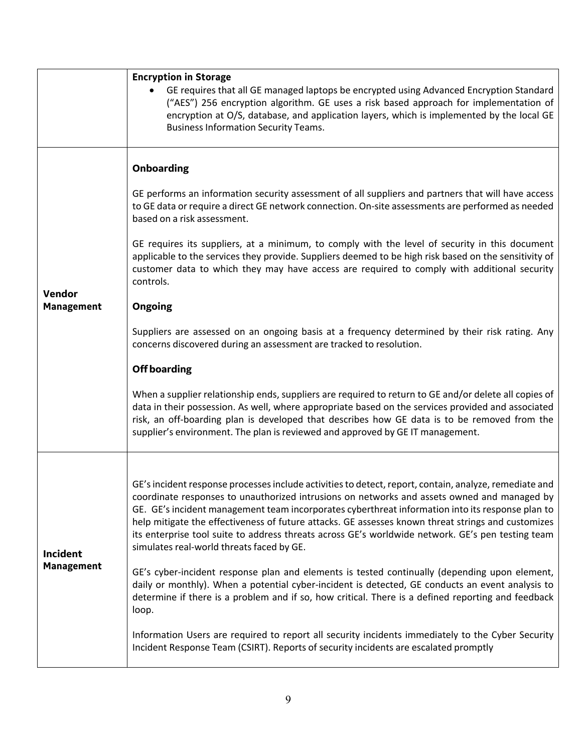|                               | <b>Encryption in Storage</b><br>GE requires that all GE managed laptops be encrypted using Advanced Encryption Standard<br>("AES") 256 encryption algorithm. GE uses a risk based approach for implementation of<br>encryption at O/S, database, and application layers, which is implemented by the local GE<br><b>Business Information Security Teams.</b>                                                                                                                                                                                                      |
|-------------------------------|-------------------------------------------------------------------------------------------------------------------------------------------------------------------------------------------------------------------------------------------------------------------------------------------------------------------------------------------------------------------------------------------------------------------------------------------------------------------------------------------------------------------------------------------------------------------|
|                               | <b>Onboarding</b>                                                                                                                                                                                                                                                                                                                                                                                                                                                                                                                                                 |
| Vendor<br><b>Management</b>   | GE performs an information security assessment of all suppliers and partners that will have access<br>to GE data or require a direct GE network connection. On-site assessments are performed as needed<br>based on a risk assessment.                                                                                                                                                                                                                                                                                                                            |
|                               | GE requires its suppliers, at a minimum, to comply with the level of security in this document<br>applicable to the services they provide. Suppliers deemed to be high risk based on the sensitivity of<br>customer data to which they may have access are required to comply with additional security<br>controls.                                                                                                                                                                                                                                               |
|                               | <b>Ongoing</b>                                                                                                                                                                                                                                                                                                                                                                                                                                                                                                                                                    |
|                               | Suppliers are assessed on an ongoing basis at a frequency determined by their risk rating. Any<br>concerns discovered during an assessment are tracked to resolution.                                                                                                                                                                                                                                                                                                                                                                                             |
|                               | <b>Off boarding</b>                                                                                                                                                                                                                                                                                                                                                                                                                                                                                                                                               |
|                               | When a supplier relationship ends, suppliers are required to return to GE and/or delete all copies of<br>data in their possession. As well, where appropriate based on the services provided and associated<br>risk, an off-boarding plan is developed that describes how GE data is to be removed from the<br>supplier's environment. The plan is reviewed and approved by GE IT management.                                                                                                                                                                     |
|                               |                                                                                                                                                                                                                                                                                                                                                                                                                                                                                                                                                                   |
| Incident<br><b>Management</b> | GE's incident response processes include activities to detect, report, contain, analyze, remediate and<br>coordinate responses to unauthorized intrusions on networks and assets owned and managed by<br>GE. GE's incident management team incorporates cyberthreat information into its response plan to<br>help mitigate the effectiveness of future attacks. GE assesses known threat strings and customizes<br>its enterprise tool suite to address threats across GE's worldwide network. GE's pen testing team<br>simulates real-world threats faced by GE. |
|                               | GE's cyber-incident response plan and elements is tested continually (depending upon element,<br>daily or monthly). When a potential cyber-incident is detected, GE conducts an event analysis to<br>determine if there is a problem and if so, how critical. There is a defined reporting and feedback<br>loop.                                                                                                                                                                                                                                                  |
|                               | Information Users are required to report all security incidents immediately to the Cyber Security<br>Incident Response Team (CSIRT). Reports of security incidents are escalated promptly                                                                                                                                                                                                                                                                                                                                                                         |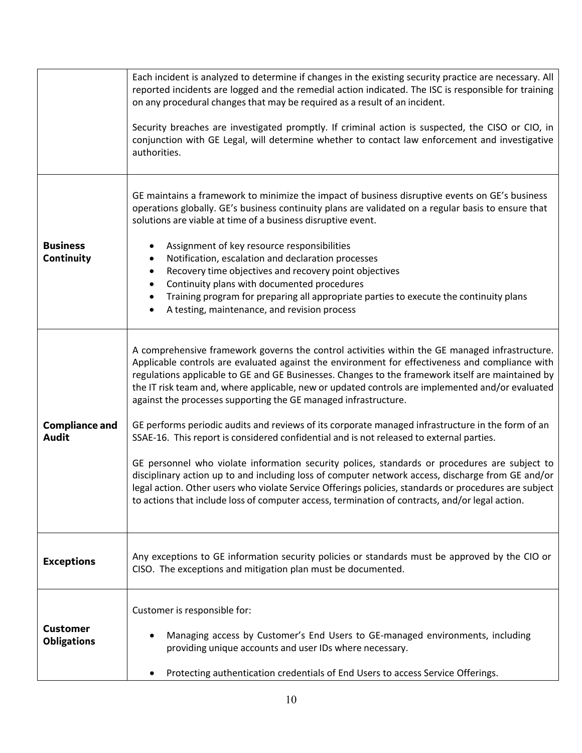|                                       | Each incident is analyzed to determine if changes in the existing security practice are necessary. All<br>reported incidents are logged and the remedial action indicated. The ISC is responsible for training<br>on any procedural changes that may be required as a result of an incident.<br>Security breaches are investigated promptly. If criminal action is suspected, the CISO or CIO, in<br>conjunction with GE Legal, will determine whether to contact law enforcement and investigative<br>authorities.                                                                                                                                                                                                                                                                                                                                                                                                                                                                                                                                                                              |
|---------------------------------------|--------------------------------------------------------------------------------------------------------------------------------------------------------------------------------------------------------------------------------------------------------------------------------------------------------------------------------------------------------------------------------------------------------------------------------------------------------------------------------------------------------------------------------------------------------------------------------------------------------------------------------------------------------------------------------------------------------------------------------------------------------------------------------------------------------------------------------------------------------------------------------------------------------------------------------------------------------------------------------------------------------------------------------------------------------------------------------------------------|
| <b>Business</b><br>Continuity         | GE maintains a framework to minimize the impact of business disruptive events on GE's business<br>operations globally. GE's business continuity plans are validated on a regular basis to ensure that<br>solutions are viable at time of a business disruptive event.<br>Assignment of key resource responsibilities<br>٠<br>Notification, escalation and declaration processes<br>$\bullet$<br>Recovery time objectives and recovery point objectives<br>$\bullet$<br>Continuity plans with documented procedures<br>$\bullet$<br>Training program for preparing all appropriate parties to execute the continuity plans<br>$\bullet$<br>A testing, maintenance, and revision process<br>٠                                                                                                                                                                                                                                                                                                                                                                                                      |
| <b>Compliance and</b><br><b>Audit</b> | A comprehensive framework governs the control activities within the GE managed infrastructure.<br>Applicable controls are evaluated against the environment for effectiveness and compliance with<br>regulations applicable to GE and GE Businesses. Changes to the framework itself are maintained by<br>the IT risk team and, where applicable, new or updated controls are implemented and/or evaluated<br>against the processes supporting the GE managed infrastructure.<br>GE performs periodic audits and reviews of its corporate managed infrastructure in the form of an<br>SSAE-16. This report is considered confidential and is not released to external parties.<br>GE personnel who violate information security polices, standards or procedures are subject to<br>disciplinary action up to and including loss of computer network access, discharge from GE and/or<br>legal action. Other users who violate Service Offerings policies, standards or procedures are subject<br>to actions that include loss of computer access, termination of contracts, and/or legal action. |
| <b>Exceptions</b>                     | Any exceptions to GE information security policies or standards must be approved by the CIO or<br>CISO. The exceptions and mitigation plan must be documented.                                                                                                                                                                                                                                                                                                                                                                                                                                                                                                                                                                                                                                                                                                                                                                                                                                                                                                                                   |
| <b>Customer</b><br><b>Obligations</b> | Customer is responsible for:<br>Managing access by Customer's End Users to GE-managed environments, including<br>providing unique accounts and user IDs where necessary.<br>Protecting authentication credentials of End Users to access Service Offerings.                                                                                                                                                                                                                                                                                                                                                                                                                                                                                                                                                                                                                                                                                                                                                                                                                                      |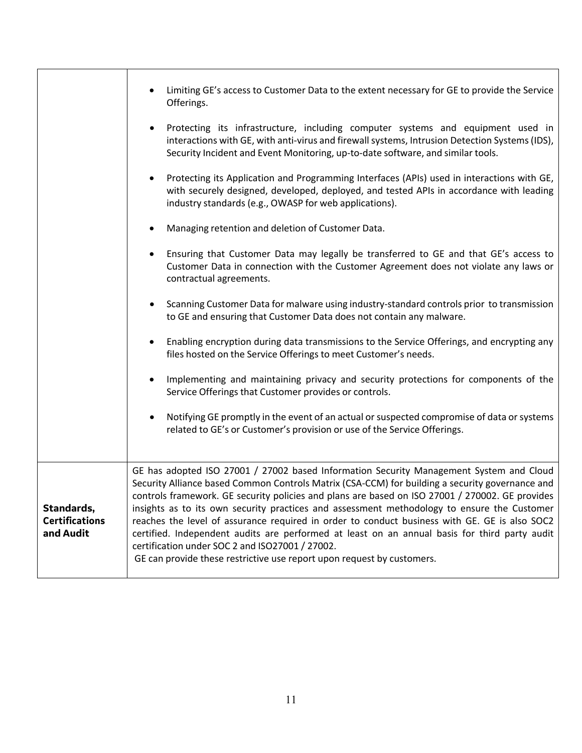|                                                  | Limiting GE's access to Customer Data to the extent necessary for GE to provide the Service<br>Offerings.                                                                                                                                                                                                                                                                                                                                                                                                                                                                                                                                                                                                                   |
|--------------------------------------------------|-----------------------------------------------------------------------------------------------------------------------------------------------------------------------------------------------------------------------------------------------------------------------------------------------------------------------------------------------------------------------------------------------------------------------------------------------------------------------------------------------------------------------------------------------------------------------------------------------------------------------------------------------------------------------------------------------------------------------------|
|                                                  | Protecting its infrastructure, including computer systems and equipment used in<br>$\bullet$<br>interactions with GE, with anti-virus and firewall systems, Intrusion Detection Systems (IDS),<br>Security Incident and Event Monitoring, up-to-date software, and similar tools.                                                                                                                                                                                                                                                                                                                                                                                                                                           |
|                                                  | Protecting its Application and Programming Interfaces (APIs) used in interactions with GE,<br>٠<br>with securely designed, developed, deployed, and tested APIs in accordance with leading<br>industry standards (e.g., OWASP for web applications).                                                                                                                                                                                                                                                                                                                                                                                                                                                                        |
|                                                  | Managing retention and deletion of Customer Data.<br>٠                                                                                                                                                                                                                                                                                                                                                                                                                                                                                                                                                                                                                                                                      |
|                                                  | Ensuring that Customer Data may legally be transferred to GE and that GE's access to<br>$\bullet$<br>Customer Data in connection with the Customer Agreement does not violate any laws or<br>contractual agreements.                                                                                                                                                                                                                                                                                                                                                                                                                                                                                                        |
|                                                  | Scanning Customer Data for malware using industry-standard controls prior to transmission<br>$\bullet$<br>to GE and ensuring that Customer Data does not contain any malware.                                                                                                                                                                                                                                                                                                                                                                                                                                                                                                                                               |
|                                                  | Enabling encryption during data transmissions to the Service Offerings, and encrypting any<br>$\bullet$<br>files hosted on the Service Offerings to meet Customer's needs.                                                                                                                                                                                                                                                                                                                                                                                                                                                                                                                                                  |
|                                                  | Implementing and maintaining privacy and security protections for components of the<br>$\bullet$<br>Service Offerings that Customer provides or controls.                                                                                                                                                                                                                                                                                                                                                                                                                                                                                                                                                                   |
|                                                  | Notifying GE promptly in the event of an actual or suspected compromise of data or systems<br>$\bullet$<br>related to GE's or Customer's provision or use of the Service Offerings.                                                                                                                                                                                                                                                                                                                                                                                                                                                                                                                                         |
| Standards,<br><b>Certifications</b><br>and Audit | GE has adopted ISO 27001 / 27002 based Information Security Management System and Cloud<br>Security Alliance based Common Controls Matrix (CSA-CCM) for building a security governance and<br>controls framework. GE security policies and plans are based on ISO 27001 / 270002. GE provides<br>insights as to its own security practices and assessment methodology to ensure the Customer<br>reaches the level of assurance required in order to conduct business with GE. GE is also SOC2<br>certified. Independent audits are performed at least on an annual basis for third party audit<br>certification under SOC 2 and ISO27001 / 27002.<br>GE can provide these restrictive use report upon request by customers. |